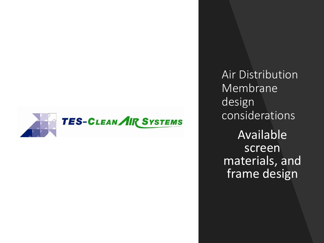

Air Distribution Membrane design considerations Available screen materials, and frame design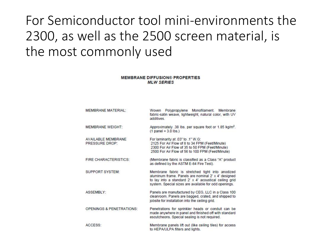### For Semiconductor tool mini-environments the 2300, as well as the 2500 screen material, is the most commonly used

#### **MEMBRANE DIFFUSION® PROPERTIES MLW SERIES**

| MEMBRANE MATERIAI ·                  | Woven Polypropylene Monofilament. Membrane<br>fabric-satin weave, lightweight, natural color, with UV<br>additives                                                                                                         |
|--------------------------------------|----------------------------------------------------------------------------------------------------------------------------------------------------------------------------------------------------------------------------|
| MEMBRANE WEIGHT:                     | Approximately .38 lbs. per square foot or 1.85 kg/m <sup>2</sup> .<br>$(1 panel = 3.0 lbs.)$                                                                                                                               |
| AVAILABLE MEMBRANE<br>PRESSURE DROP: | For laminarity at .03" to .1" W.G:<br>2125 For Air Flow of 8 to 34 FPM (Feet/Minute)<br>2300 For Air Flow of 35 to 50 FPM (Feet/Minute)<br>2500 For Air Flow of 56 to 100 FPM (Feet/Minute)                                |
| <b>FIRE CHARACTERISTICS:</b>         | (Membrane fabric is classified as a Class "A" product<br>as defined by the ASTM E-84 Fire Test).                                                                                                                           |
| SUPPORT SYSTEM:                      | Membrane fabric is stretched tight into anodized<br>aluminum frame. Panels are nominal 2' x 4' designed<br>to lay into a standard 2' x 4' acoustical ceiling grid<br>system. Special sizes are available for odd openings. |
| ASSEMBLY:                            | Panels are manufactured by CEG, LLC in a Class 100<br>cleanroom. Panels are bagged, crated, and shipped to<br>jobsite for installation into the ceiling grid.                                                              |
| <b>OPENINGS &amp; PENETRATIONS:</b>  | Penetrations for sprinkler heads or conduit can be<br>made anywhere in panel and finished off with standard<br>escutcheons. Special sealing is not required.                                                               |
| ACCESS:                              | Membrane panels lift out (like ceiling tiles) for access<br>to HEPA/ULPA filters and lights.                                                                                                                               |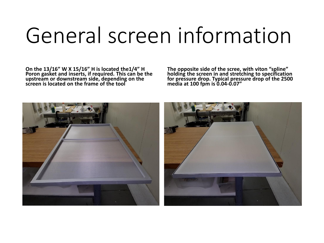# General screen information

**On the 13/16" W X 15/16" H is located the1/4" H Poron gasket and inserts, if required. This can be the upstream or downstream side, depending on the screen is located on the frame of the tool** 

**The opposite side of the scree, with viton "spline" holding the screen in and stretching to specification for pressure drop. Typical pressure drop of the 2500 media at 100 fpm is 0.04-0.07"**

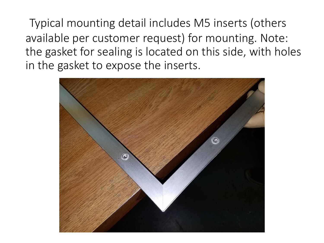Typical mounting detail includes M5 inserts (others available per customer request) for mounting. Note: the gasket for sealing is located on this side, with holes in the gasket to expose the inserts.

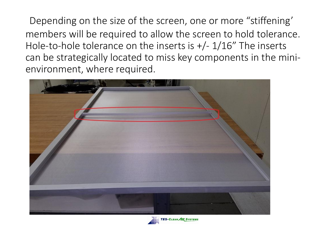Depending on the size of the screen, one or more "stiffening' members will be required to allow the screen to hold tolerance. Hole-to-hole tolerance on the inserts is +/- 1/16" The inserts can be strategically located to miss key components in the minienvironment, where required.



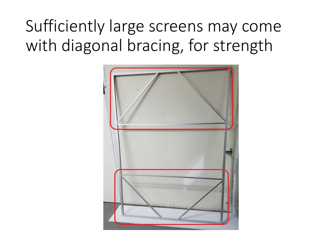## Sufficiently large screens may come with diagonal bracing, for strength